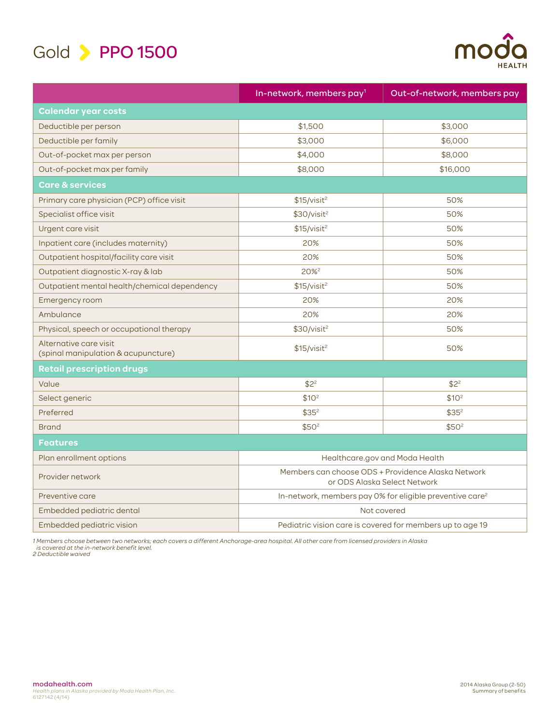



|                                                               | In-network, members pay <sup>1</sup>                                               | Out-of-network, members pay |
|---------------------------------------------------------------|------------------------------------------------------------------------------------|-----------------------------|
| <b>Calendar year costs</b>                                    |                                                                                    |                             |
| Deductible per person                                         | \$1,500                                                                            | \$3,000                     |
| Deductible per family                                         | \$3,000                                                                            | \$6,000                     |
| Out-of-pocket max per person                                  | \$4,000                                                                            | \$8,000                     |
| Out-of-pocket max per family                                  | \$8,000                                                                            | \$16,000                    |
| <b>Care &amp; services</b>                                    |                                                                                    |                             |
| Primary care physician (PCP) office visit                     | \$15/visit <sup>2</sup>                                                            | 50%                         |
| Specialist office visit                                       | \$30/visit <sup>2</sup>                                                            | 50%                         |
| Urgent care visit                                             | \$15/visit <sup>2</sup>                                                            | 50%                         |
| Inpatient care (includes maternity)                           | 20%                                                                                | 50%                         |
| Outpatient hospital/facility care visit                       | 20%                                                                                | 50%                         |
| Outpatient diagnostic X-ray & lab                             | 20% <sup>2</sup>                                                                   | 50%                         |
| Outpatient mental health/chemical dependency                  | \$15/visit <sup>2</sup>                                                            | 50%                         |
| Emergency room                                                | 20%                                                                                | 20%                         |
| Ambulance                                                     | 20%                                                                                | 20%                         |
| Physical, speech or occupational therapy                      | \$30/visit <sup>2</sup>                                                            | 50%                         |
| Alternative care visit<br>(spinal manipulation & acupuncture) | \$15/visit <sup>2</sup>                                                            | 50%                         |
| Retail prescription drugs                                     |                                                                                    |                             |
| Value                                                         | $$2^2$                                                                             | $$2^2$                      |
| Select generic                                                | \$10 <sup>2</sup>                                                                  | \$10 <sup>2</sup>           |
| Preferred                                                     | \$35 <sup>2</sup>                                                                  | \$35 <sup>2</sup>           |
| <b>Brand</b>                                                  | \$50 <sup>2</sup>                                                                  | \$50 <sup>2</sup>           |
| <b>Features</b>                                               |                                                                                    |                             |
| Plan enrollment options                                       | Healthcare.gov and Moda Health                                                     |                             |
| Provider network                                              | Members can choose ODS + Providence Alaska Network<br>or ODS Alaska Select Network |                             |
| Preventive care                                               | In-network, members pay 0% for eligible preventive care <sup>2</sup>               |                             |
| Embedded pediatric dental                                     | Not covered                                                                        |                             |
| Embedded pediatric vision                                     | Pediatric vision care is covered for members up to age 19                          |                             |

1 Members choose between two networks; each covers a different Anchorage-area hospital. All other care from licensed providers in Alaska<br> is covered at the in-network benefit level.<br>2 Deductible waived